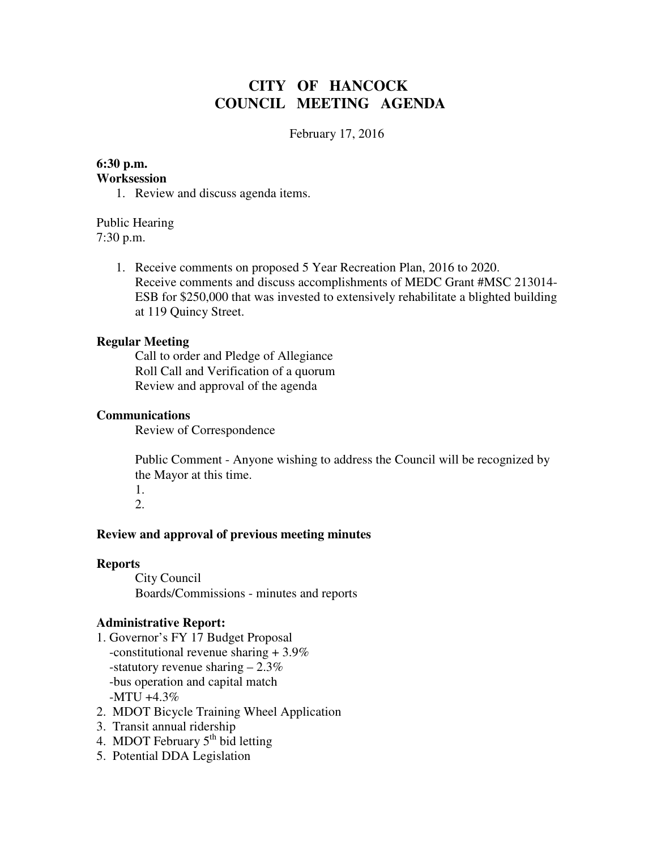# **CITY OF HANCOCK COUNCIL MEETING AGENDA**

February 17, 2016

# **6:30 p.m.**

# **Worksession**

1. Review and discuss agenda items.

Public Hearing 7:30 p.m.

> 1. Receive comments on proposed 5 Year Recreation Plan, 2016 to 2020. Receive comments and discuss accomplishments of MEDC Grant #MSC 213014- ESB for \$250,000 that was invested to extensively rehabilitate a blighted building at 119 Quincy Street.

#### **Regular Meeting**

 Call to order and Pledge of Allegiance Roll Call and Verification of a quorum Review and approval of the agenda

#### **Communications**

Review of Correspondence

 Public Comment - Anyone wishing to address the Council will be recognized by the Mayor at this time.

1. 2.

#### **Review and approval of previous meeting minutes**

#### **Reports**

City Council Boards/Commissions - minutes and reports

#### **Administrative Report:**

- 1. Governor's FY 17 Budget Proposal -constitutional revenue sharing + 3.9% -statutory revenue sharing – 2.3% -bus operation and capital match -MTU +4.3%
- 2. MDOT Bicycle Training Wheel Application
- 3. Transit annual ridership
- 4. MDOT February  $5<sup>th</sup>$  bid letting
- 5. Potential DDA Legislation